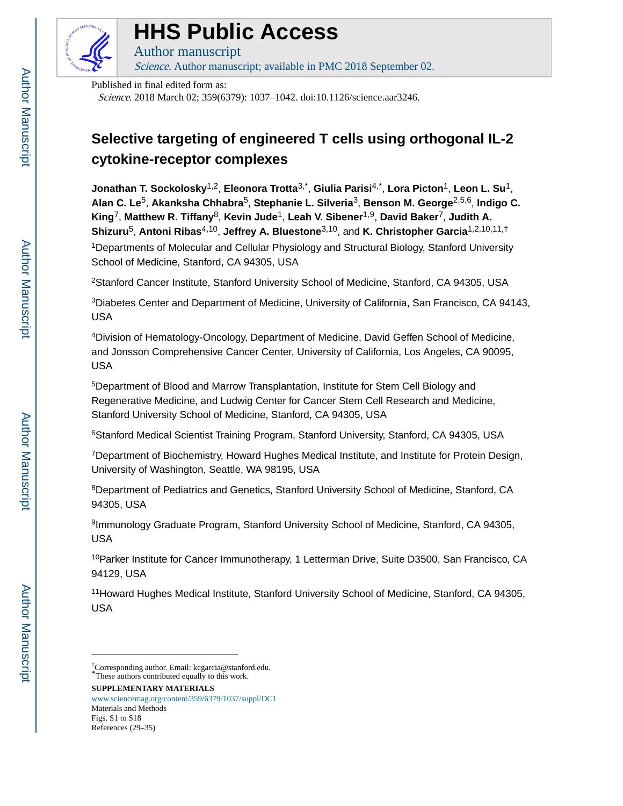

# **HHS Public Access**

Author manuscript Science. Author manuscript; available in PMC 2018 September 02.

Published in final edited form as:

Science. 2018 March 02; 359(6379): 1037–1042. doi:10.1126/science.aar3246.

# **Selective targeting of engineered T cells using orthogonal IL-2 cytokine-receptor complexes**

**Jonathan T. Sockolosky**1,2, **Eleonora Trotta**3,\* , **Giulia Parisi**4,\* , **Lora Picton**1, **Leon L. Su**1, **Alan C. Le**5, **Akanksha Chhabra**5, **Stephanie L. Silveria**3, **Benson M. George**2,5,6, **Indigo C. King**7, **Matthew R. Tiffany**8, **Kevin Jude**1, **Leah V. Sibener**1,9, **David Baker**7, **Judith A. Shizuru**5, **Antoni Ribas**4,10, **Jeffrey A. Bluestone**3,10, and **K. Christopher Garcia**1,2,10,11,† <sup>1</sup>Departments of Molecular and Cellular Physiology and Structural Biology, Stanford University School of Medicine, Stanford, CA 94305, USA

<sup>2</sup>Stanford Cancer Institute, Stanford University School of Medicine, Stanford, CA 94305, USA

<sup>3</sup>Diabetes Center and Department of Medicine, University of California, San Francisco, CA 94143, USA

<sup>4</sup>Division of Hematology-Oncology, Department of Medicine, David Geffen School of Medicine, and Jonsson Comprehensive Cancer Center, University of California, Los Angeles, CA 90095, USA

<sup>5</sup>Department of Blood and Marrow Transplantation, Institute for Stem Cell Biology and Regenerative Medicine, and Ludwig Center for Cancer Stem Cell Research and Medicine, Stanford University School of Medicine, Stanford, CA 94305, USA

<sup>6</sup>Stanford Medical Scientist Training Program, Stanford University, Stanford, CA 94305, USA

<sup>7</sup>Department of Biochemistry, Howard Hughes Medical Institute, and Institute for Protein Design, University of Washington, Seattle, WA 98195, USA

<sup>8</sup>Department of Pediatrics and Genetics, Stanford University School of Medicine, Stanford, CA 94305, USA

9 Immunology Graduate Program, Stanford University School of Medicine, Stanford, CA 94305, USA

<sup>10</sup>Parker Institute for Cancer Immunotherapy, 1 Letterman Drive, Suite D3500, San Francisco, CA 94129, USA

<sup>11</sup> Howard Hughes Medical Institute, Stanford University School of Medicine, Stanford, CA 94305, USA

**SUPPLEMENTARY MATERIALS** [www.sciencemag.org/content/359/6379/1037/suppl/DC1](http://www.sciencemag.org/content/359/6379/1037/suppl/DC1) Materials and Methods

Author Manuscript

Author Manuscript

<sup>†</sup>Corresponding author. Email: kcgarcia@stanford.edu. \*These authors contributed equally to this work.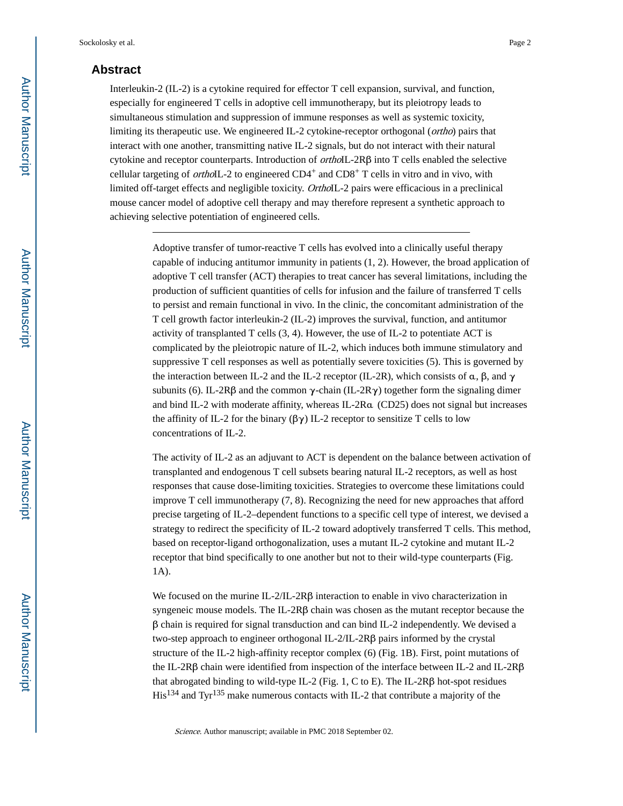## **Abstract**

Interleukin-2 (IL-2) is a cytokine required for effector T cell expansion, survival, and function, especially for engineered T cells in adoptive cell immunotherapy, but its pleiotropy leads to simultaneous stimulation and suppression of immune responses as well as systemic toxicity, limiting its therapeutic use. We engineered IL-2 cytokine-receptor orthogonal (ortho) pairs that interact with one another, transmitting native IL-2 signals, but do not interact with their natural cytokine and receptor counterparts. Introduction of *ortho*IL- $2R\beta$  into T cells enabled the selective cellular targeting of *ortho*IL-2 to engineered  $CD4^+$  and  $CD8^+$  T cells in vitro and in vivo, with limited off-target effects and negligible toxicity. OrthoIL-2 pairs were efficacious in a preclinical mouse cancer model of adoptive cell therapy and may therefore represent a synthetic approach to achieving selective potentiation of engineered cells.

> Adoptive transfer of tumor-reactive T cells has evolved into a clinically useful therapy capable of inducing antitumor immunity in patients (1, 2). However, the broad application of adoptive T cell transfer (ACT) therapies to treat cancer has several limitations, including the production of sufficient quantities of cells for infusion and the failure of transferred T cells to persist and remain functional in vivo. In the clinic, the concomitant administration of the T cell growth factor interleukin-2 (IL-2) improves the survival, function, and antitumor activity of transplanted T cells (3, 4). However, the use of IL-2 to potentiate ACT is complicated by the pleiotropic nature of IL-2, which induces both immune stimulatory and suppressive T cell responses as well as potentially severe toxicities (5). This is governed by the interaction between IL-2 and the IL-2 receptor (IL-2R), which consists of α, β, and  $\gamma$ subunits (6). IL-2Rβ and the common  $\gamma$ -chain (IL-2R $\gamma$ ) together form the signaling dimer and bind IL-2 with moderate affinity, whereas IL-2Rα (CD25) does not signal but increases the affinity of IL-2 for the binary  $(\beta \gamma)$  IL-2 receptor to sensitize T cells to low concentrations of IL-2.

> The activity of IL-2 as an adjuvant to ACT is dependent on the balance between activation of transplanted and endogenous T cell subsets bearing natural IL-2 receptors, as well as host responses that cause dose-limiting toxicities. Strategies to overcome these limitations could improve T cell immunotherapy (7, 8). Recognizing the need for new approaches that afford precise targeting of IL-2–dependent functions to a specific cell type of interest, we devised a strategy to redirect the specificity of IL-2 toward adoptively transferred T cells. This method, based on receptor-ligand orthogonalization, uses a mutant IL-2 cytokine and mutant IL-2 receptor that bind specifically to one another but not to their wild-type counterparts (Fig. 1A).

We focused on the murine IL-2/IL-2Rβ interaction to enable in vivo characterization in syngeneic mouse models. The IL-2Rβ chain was chosen as the mutant receptor because the β chain is required for signal transduction and can bind IL-2 independently. We devised a two-step approach to engineer orthogonal IL-2/IL-2Rβ pairs informed by the crystal structure of the IL-2 high-affinity receptor complex (6) (Fig. 1B). First, point mutations of the IL-2Rβ chain were identified from inspection of the interface between IL-2 and IL-2Rβ that abrogated binding to wild-type IL-2 (Fig. 1, C to E). The IL-2Rβ hot-spot residues His134 and Tyr135 make numerous contacts with IL-2 that contribute a majority of the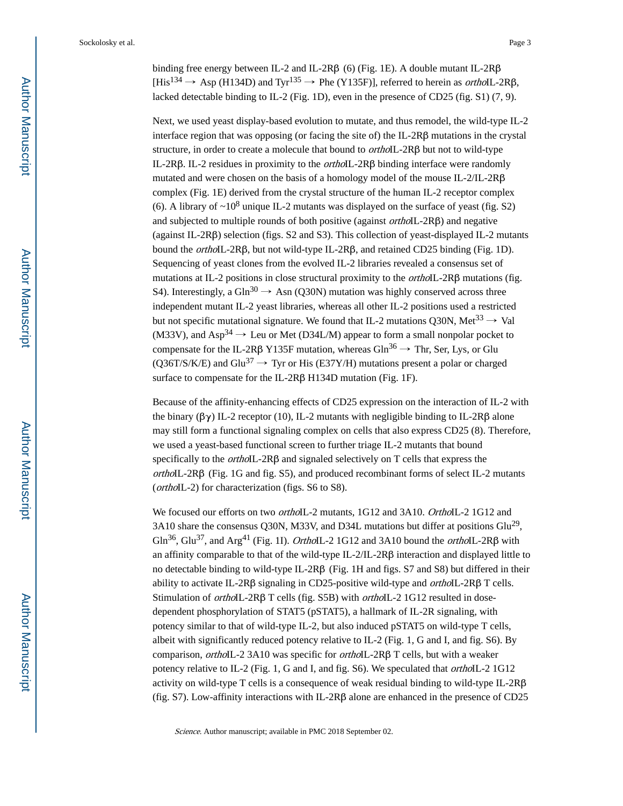binding free energy between IL-2 and IL-2Rβ (6) (Fig. 1E). A double mutant IL-2Rβ  $[His<sup>134</sup> \rightarrow Asp (H134D)$  and Tyr<sup>135</sup>  $\rightarrow$  Phe (Y135F)], referred to herein as *ortho*IL-2R $\beta$ , lacked detectable binding to IL-2 (Fig. 1D), even in the presence of CD25 (fig. S1) (7, 9).

Next, we used yeast display-based evolution to mutate, and thus remodel, the wild-type IL-2 interface region that was opposing (or facing the site of) the IL-2Rβ mutations in the crystal structure, in order to create a molecule that bound to orthoIL-2Rβ but not to wild-type IL-2Rβ. IL-2 residues in proximity to the orthoIL-2Rβ binding interface were randomly mutated and were chosen on the basis of a homology model of the mouse IL-2/IL-2Rβ complex (Fig. 1E) derived from the crystal structure of the human IL-2 receptor complex (6). A library of  $\sim 10^8$  unique IL-2 mutants was displayed on the surface of yeast (fig. S2) and subjected to multiple rounds of both positive (against orthoIL-2Rβ) and negative (against IL-2Rβ) selection (figs. S2 and S3). This collection of yeast-displayed IL-2 mutants bound the orthoIL-2Rβ, but not wild-type IL-2Rβ, and retained CD25 binding (Fig. 1D). Sequencing of yeast clones from the evolved IL-2 libraries revealed a consensus set of mutations at IL-2 positions in close structural proximity to the *orthoIL-2Rβ* mutations (fig. S4). Interestingly, a Gln<sup>30</sup>  $\rightarrow$  Asn (Q30N) mutation was highly conserved across three independent mutant IL-2 yeast libraries, whereas all other IL-2 positions used a restricted but not specific mutational signature. We found that IL-2 mutations Q30N, Met<sup>33</sup>  $\rightarrow$  Val (M33V), and Asp<sup>34</sup>  $\rightarrow$  Leu or Met (D34L/M) appear to form a small nonpolar pocket to compensate for the IL-2Rβ Y135F mutation, whereas  $\text{Gln}^{36} \rightarrow \text{Thr}$ , Ser, Lys, or Glu (Q36T/S/K/E) and Glu<sup>37</sup>  $\rightarrow$  Tyr or His (E37Y/H) mutations present a polar or charged surface to compensate for the IL-2Rβ H134D mutation (Fig. 1F).

Because of the affinity-enhancing effects of CD25 expression on the interaction of IL-2 with the binary  $(\beta \gamma)$  IL-2 receptor (10), IL-2 mutants with negligible binding to IL-2R $\beta$  alone may still form a functional signaling complex on cells that also express CD25 (8). Therefore, we used a yeast-based functional screen to further triage IL-2 mutants that bound specifically to the orthoIL-2Rβ and signaled selectively on T cells that express the orthoIL-2Rβ (Fig. 1G and fig. S5), and produced recombinant forms of select IL-2 mutants (orthoIL-2) for characterization (figs. S6 to S8).

We focused our efforts on two *ortho*IL-2 mutants, 1G12 and 3A10. OrthoIL-2 1G12 and 3A10 share the consensus Q30N, M33V, and D34L mutations but differ at positions  $\text{Glu}^{29}$ , Gln<sup>36</sup>, Glu<sup>37</sup>, and Arg<sup>41</sup> (Fig. 1I). *OrthoIL-2* 1G12 and 3A10 bound the *orthoIL-2RB* with an affinity comparable to that of the wild-type IL-2/IL-2Rβ interaction and displayed little to no detectable binding to wild-type IL-2Rβ (Fig. 1H and figs. S7 and S8) but differed in their ability to activate IL-2R $\beta$  signaling in CD25-positive wild-type and *ortho*IL-2R $\beta$  T cells. Stimulation of orthoIL-2Rβ T cells (fig. S5B) with orthoIL-2 1G12 resulted in dosedependent phosphorylation of STAT5 (pSTAT5), a hallmark of IL-2R signaling, with potency similar to that of wild-type IL-2, but also induced pSTAT5 on wild-type T cells, albeit with significantly reduced potency relative to IL-2 (Fig. 1, G and I, and fig. S6). By comparison, orthoIL-2 3A10 was specific for orthoIL-2Rβ T cells, but with a weaker potency relative to IL-2 (Fig. 1, G and I, and fig. S6). We speculated that orthoIL-2 1G12 activity on wild-type T cells is a consequence of weak residual binding to wild-type IL-2Rβ (fig. S7). Low-affinity interactions with IL-2Rβ alone are enhanced in the presence of CD25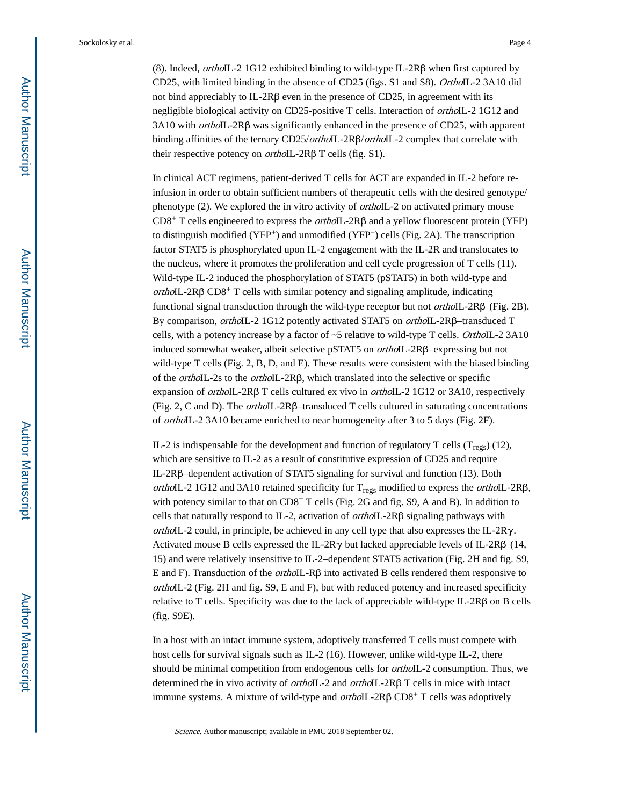(8). Indeed, orthoIL-2 1G12 exhibited binding to wild-type IL-2Rβ when first captured by CD25, with limited binding in the absence of CD25 (figs. S1 and S8). OrthoIL-2 3A10 did not bind appreciably to IL-2Rβ even in the presence of CD25, in agreement with its negligible biological activity on CD25-positive T cells. Interaction of *orthoIL-2* 1G12 and 3A10 with orthoIL-2Rβ was significantly enhanced in the presence of CD25, with apparent binding affinities of the ternary CD25/orthoIL-2Rβ/orthoIL-2 complex that correlate with their respective potency on *ortho*IL-2Rβ T cells (fig. S1).

In clinical ACT regimens, patient-derived T cells for ACT are expanded in IL-2 before reinfusion in order to obtain sufficient numbers of therapeutic cells with the desired genotype/ phenotype (2). We explored the in vitro activity of orthoIL-2 on activated primary mouse CD8<sup>+</sup> T cells engineered to express the *ortho*IL-2Rβ and a yellow fluorescent protein (YFP) to distinguish modified (YFP+) and unmodified (YFP−) cells (Fig. 2A). The transcription factor STAT5 is phosphorylated upon IL-2 engagement with the IL-2R and translocates to the nucleus, where it promotes the proliferation and cell cycle progression of T cells (11). Wild-type IL-2 induced the phosphorylation of STAT5 (pSTAT5) in both wild-type and orthoIL-2R $\beta$  CD $8^+$  T cells with similar potency and signaling amplitude, indicating functional signal transduction through the wild-type receptor but not *ortho*IL-2R $\beta$  (Fig. 2B). By comparison, orthoIL-2 1G12 potently activated STAT5 on orthoIL-2Rβ–transduced T cells, with a potency increase by a factor of  $\sim$ 5 relative to wild-type T cells. OrthoIL-2 3A10 induced somewhat weaker, albeit selective pSTAT5 on orthoIL-2Rβ–expressing but not wild-type T cells (Fig. 2, B, D, and E). These results were consistent with the biased binding of the orthoIL-2s to the orthoIL-2Rβ, which translated into the selective or specific expansion of orthoIL-2Rβ T cells cultured ex vivo in orthoIL-2 1G12 or 3A10, respectively (Fig. 2, C and D). The *orthoIL-2Rβ*–transduced T cells cultured in saturating concentrations of orthoIL-2 3A10 became enriched to near homogeneity after 3 to 5 days (Fig. 2F).

IL-2 is indispensable for the development and function of regulatory T cells  $(T_{\text{regs}})$  (12), which are sensitive to IL-2 as a result of constitutive expression of CD25 and require IL-2Rβ–dependent activation of STAT5 signaling for survival and function (13). Both orthoIL-2 1G12 and 3A10 retained specificity for  $T_{regs}$  modified to express the *orthoIL-2Rβ*, with potency similar to that on CD8<sup>+</sup> T cells (Fig. 2G and fig. S9, A and B). In addition to cells that naturally respond to IL-2, activation of *ortho*IL-2R $\beta$  signaling pathways with orthoIL-2 could, in principle, be achieved in any cell type that also expresses the IL-2Rγ. Activated mouse B cells expressed the IL-2R $\gamma$  but lacked appreciable levels of IL-2R $\beta$  (14, 15) and were relatively insensitive to IL-2–dependent STAT5 activation (Fig. 2H and fig. S9, E and F). Transduction of the *ortho*IL-R $\beta$  into activated B cells rendered them responsive to orthoIL-2 (Fig. 2H and fig. S9, E and F), but with reduced potency and increased specificity relative to T cells. Specificity was due to the lack of appreciable wild-type IL-2Rβ on B cells (fig. S9E).

In a host with an intact immune system, adoptively transferred T cells must compete with host cells for survival signals such as IL-2 (16). However, unlike wild-type IL-2, there should be minimal competition from endogenous cells for orthoIL-2 consumption. Thus, we determined the in vivo activity of *orthoIL-2* and *orthoIL-2Rβ* T cells in mice with intact immune systems. A mixture of wild-type and *ortho*IL-2R $\beta$  CD8<sup>+</sup> T cells was adoptively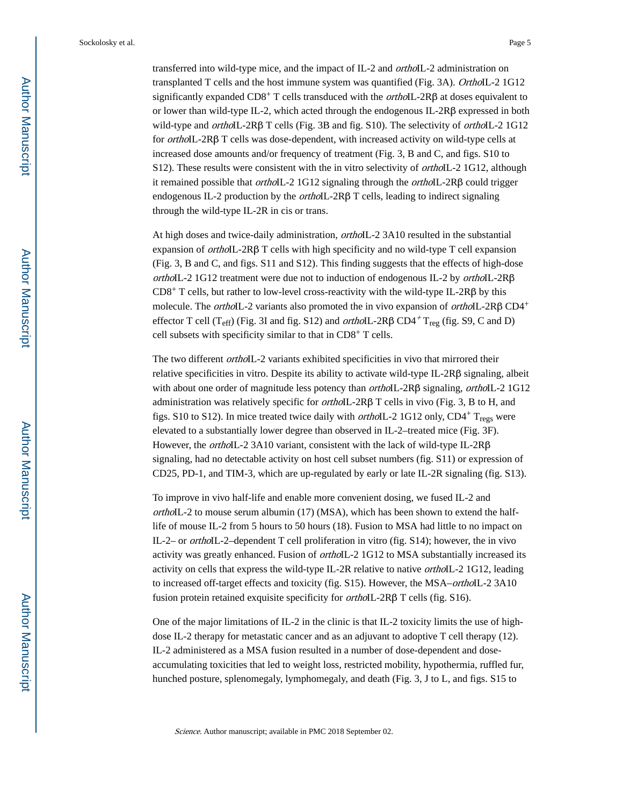transferred into wild-type mice, and the impact of IL-2 and orthoIL-2 administration on transplanted T cells and the host immune system was quantified (Fig. 3A). OrthoIL-2 1G12 significantly expanded  $CD8^+$  T cells transduced with the *ortho*IL-2R $\beta$  at doses equivalent to or lower than wild-type IL-2, which acted through the endogenous IL-2Rβ expressed in both wild-type and orthoIL-2Rβ T cells (Fig. 3B and fig. S10). The selectivity of orthoIL-2 1G12 for orthoIL-2Rβ T cells was dose-dependent, with increased activity on wild-type cells at increased dose amounts and/or frequency of treatment (Fig. 3, B and C, and figs. S10 to S12). These results were consistent with the in vitro selectivity of *orthoIL-2* 1G12, although it remained possible that *ortho*IL-2 1G12 signaling through the *orthoIL*-2R $\beta$  could trigger endogenous IL-2 production by the orthoIL-2Rβ T cells, leading to indirect signaling through the wild-type IL-2R in cis or trans.

At high doses and twice-daily administration, orthoIL-2 3A10 resulted in the substantial expansion of orthoIL-2Rβ T cells with high specificity and no wild-type T cell expansion (Fig. 3, B and C, and figs. S11 and S12). This finding suggests that the effects of high-dose orthoIL-2 1G12 treatment were due not to induction of endogenous IL-2 by *orthoIL-2R* $\beta$  $CD8<sup>+</sup>$  T cells, but rather to low-level cross-reactivity with the wild-type IL-2R $\beta$  by this molecule. The *orthoIL-2* variants also promoted the in vivo expansion of *orthoIL-2R* $\beta$  CD4<sup>+</sup> effector T cell (T<sub>eff</sub>) (Fig. 3I and fig. S12) and *ortho*IL-2R $\beta$  CD4<sup>+</sup> T<sub>reg</sub> (fig. S9, C and D) cell subsets with specificity similar to that in CD8+ T cells.

The two different *orthoIL-2* variants exhibited specificities in vivo that mirrored their relative specificities in vitro. Despite its ability to activate wild-type IL-2Rβ signaling, albeit with about one order of magnitude less potency than *ortho*IL-2Rβ signaling, *orthoIL*-2 1G12 administration was relatively specific for orthoIL-2Rβ T cells in vivo (Fig. 3, B to H, and figs. S10 to S12). In mice treated twice daily with *orthoIL-2* 1G12 only,  $CD4^+$  T<sub>regs</sub> were elevated to a substantially lower degree than observed in IL-2–treated mice (Fig. 3F). However, the orthoIL-2 3A10 variant, consistent with the lack of wild-type IL-2Rβ signaling, had no detectable activity on host cell subset numbers (fig. S11) or expression of CD25, PD-1, and TIM-3, which are up-regulated by early or late IL-2R signaling (fig. S13).

To improve in vivo half-life and enable more convenient dosing, we fused IL-2 and orthoIL-2 to mouse serum albumin (17) (MSA), which has been shown to extend the halflife of mouse IL-2 from 5 hours to 50 hours (18). Fusion to MSA had little to no impact on IL-2– or orthoIL-2–dependent T cell proliferation in vitro (fig. S14); however, the in vivo activity was greatly enhanced. Fusion of orthoIL-2 1G12 to MSA substantially increased its activity on cells that express the wild-type IL-2R relative to native orthoIL-2 1G12, leading to increased off-target effects and toxicity (fig. S15). However, the MSA–*orthoIL-2* 3A10 fusion protein retained exquisite specificity for *ortho*IL-2Rβ T cells (fig. S16).

One of the major limitations of IL-2 in the clinic is that IL-2 toxicity limits the use of highdose IL-2 therapy for metastatic cancer and as an adjuvant to adoptive T cell therapy (12). IL-2 administered as a MSA fusion resulted in a number of dose-dependent and doseaccumulating toxicities that led to weight loss, restricted mobility, hypothermia, ruffled fur, hunched posture, splenomegaly, lymphomegaly, and death (Fig. 3, J to L, and figs. S15 to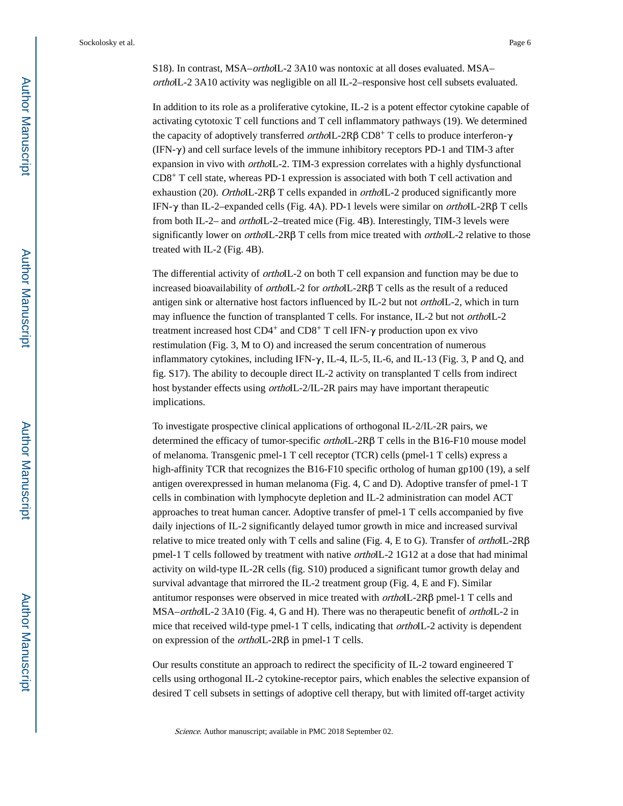S18). In contrast, MSA–*ortho*IL-2 3A10 was nontoxic at all doses evaluated. MSA– orthoIL-2 3A10 activity was negligible on all IL-2–responsive host cell subsets evaluated.

In addition to its role as a proliferative cytokine, IL-2 is a potent effector cytokine capable of activating cytotoxic T cell functions and T cell inflammatory pathways (19). We determined the capacity of adoptively transferred *ortho*IL-2Rβ CD8<sup>+</sup> T cells to produce interferon-γ (IFN-γ) and cell surface levels of the immune inhibitory receptors PD-1 and TIM-3 after expansion in vivo with *orthoIL-2*. TIM-3 expression correlates with a highly dysfunctional CD8+ T cell state, whereas PD-1 expression is associated with both T cell activation and exhaustion (20). *OrthoIL*-2R $\beta$  T cells expanded in *orthoIL*-2 produced significantly more IFN-γ than IL-2–expanded cells (Fig. 4A). PD-1 levels were similar on orthoIL-2Rβ T cells from both IL-2– and *orthoIL-2*–treated mice (Fig. 4B). Interestingly, TIM-3 levels were significantly lower on orthoIL-2Rβ T cells from mice treated with orthoIL-2 relative to those treated with IL-2 (Fig. 4B).

The differential activity of orthoIL-2 on both T cell expansion and function may be due to increased bioavailability of orthoIL-2 for orthoIL-2Rβ T cells as the result of a reduced antigen sink or alternative host factors influenced by IL-2 but not *ortho*IL-2, which in turn may influence the function of transplanted T cells. For instance, IL-2 but not orthoIL-2 treatment increased host  $CD4^+$  and  $CD8^+$  T cell IFN- $\gamma$  production upon ex vivo restimulation (Fig. 3, M to O) and increased the serum concentration of numerous inflammatory cytokines, including IFN- $\gamma$ , IL-4, IL-5, IL-6, and IL-13 (Fig. 3, P and Q, and fig. S17). The ability to decouple direct IL-2 activity on transplanted T cells from indirect host bystander effects using orthoIL-2/IL-2R pairs may have important therapeutic implications.

To investigate prospective clinical applications of orthogonal IL-2/IL-2R pairs, we determined the efficacy of tumor-specific orthoIL-2Rβ T cells in the B16-F10 mouse model of melanoma. Transgenic pmel-1 T cell receptor (TCR) cells (pmel-1 T cells) express a high-affinity TCR that recognizes the B16-F10 specific ortholog of human gp100 (19), a self antigen overexpressed in human melanoma (Fig. 4, C and D). Adoptive transfer of pmel-1 T cells in combination with lymphocyte depletion and IL-2 administration can model ACT approaches to treat human cancer. Adoptive transfer of pmel-1 T cells accompanied by five daily injections of IL-2 significantly delayed tumor growth in mice and increased survival relative to mice treated only with T cells and saline (Fig. 4, E to G). Transfer of *orthoIL-2R* $\beta$ pmel-1 T cells followed by treatment with native orthoIL-2 1G12 at a dose that had minimal activity on wild-type IL-2R cells (fig. S10) produced a significant tumor growth delay and survival advantage that mirrored the IL-2 treatment group (Fig. 4, E and F). Similar antitumor responses were observed in mice treated with orthoIL-2Rβ pmel-1 T cells and MSA–*ortho*IL-2 3A10 (Fig. 4, G and H). There was no therapeutic benefit of *orthoIL-2* in mice that received wild-type pmel-1 T cells, indicating that *ortho*IL-2 activity is dependent on expression of the orthoIL-2Rβ in pmel-1 T cells.

Our results constitute an approach to redirect the specificity of IL-2 toward engineered T cells using orthogonal IL-2 cytokine-receptor pairs, which enables the selective expansion of desired T cell subsets in settings of adoptive cell therapy, but with limited off-target activity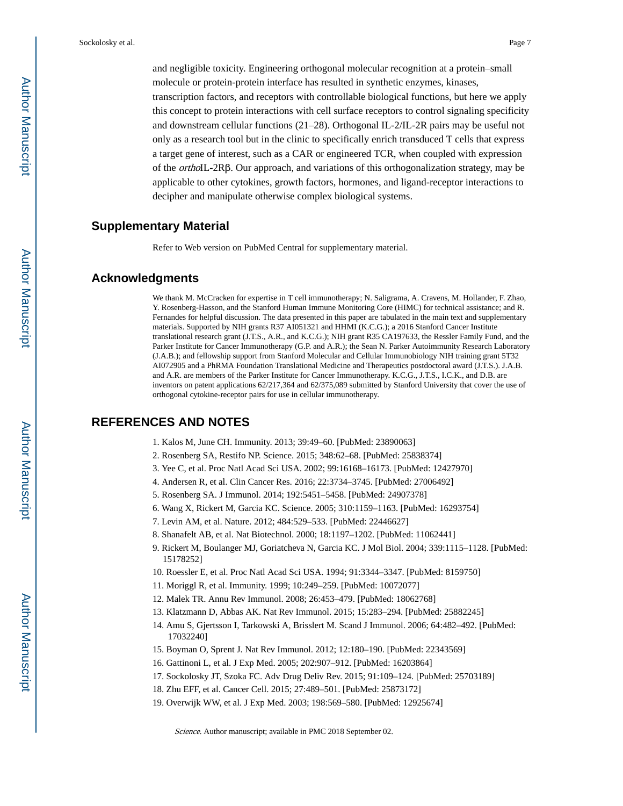and negligible toxicity. Engineering orthogonal molecular recognition at a protein–small molecule or protein-protein interface has resulted in synthetic enzymes, kinases, transcription factors, and receptors with controllable biological functions, but here we apply this concept to protein interactions with cell surface receptors to control signaling specificity and downstream cellular functions (21–28). Orthogonal IL-2/IL-2R pairs may be useful not only as a research tool but in the clinic to specifically enrich transduced T cells that express a target gene of interest, such as a CAR or engineered TCR, when coupled with expression of the orthoIL-2Rβ. Our approach, and variations of this orthogonalization strategy, may be applicable to other cytokines, growth factors, hormones, and ligand-receptor interactions to decipher and manipulate otherwise complex biological systems.

## **Supplementary Material**

Refer to Web version on PubMed Central for supplementary material.

#### **Acknowledgments**

We thank M. McCracken for expertise in T cell immunotherapy; N. Saligrama, A. Cravens, M. Hollander, F. Zhao, Y. Rosenberg-Hasson, and the Stanford Human Immune Monitoring Core (HIMC) for technical assistance; and R. Fernandes for helpful discussion. The data presented in this paper are tabulated in the main text and supplementary materials. Supported by NIH grants R37 AI051321 and HHMI (K.C.G.); a 2016 Stanford Cancer Institute translational research grant (J.T.S., A.R., and K.C.G.); NIH grant R35 CA197633, the Ressler Family Fund, and the Parker Institute for Cancer Immunotherapy (G.P. and A.R.); the Sean N. Parker Autoimmunity Research Laboratory (J.A.B.); and fellowship support from Stanford Molecular and Cellular Immunobiology NIH training grant 5T32 AI072905 and a PhRMA Foundation Translational Medicine and Therapeutics postdoctoral award (J.T.S.). J.A.B. and A.R. are members of the Parker Institute for Cancer Immunotherapy. K.C.G., J.T.S., I.C.K., and D.B. are inventors on patent applications 62/217,364 and 62/375,089 submitted by Stanford University that cover the use of orthogonal cytokine-receptor pairs for use in cellular immunotherapy.

#### **REFERENCES AND NOTES**

- 1. Kalos M, June CH. Immunity. 2013; 39:49–60. [PubMed: 23890063]
- 2. Rosenberg SA, Restifo NP. Science. 2015; 348:62–68. [PubMed: 25838374]
- 3. Yee C, et al. Proc Natl Acad Sci USA. 2002; 99:16168–16173. [PubMed: 12427970]
- 4. Andersen R, et al. Clin Cancer Res. 2016; 22:3734–3745. [PubMed: 27006492]
- 5. Rosenberg SA. J Immunol. 2014; 192:5451–5458. [PubMed: 24907378]
- 6. Wang X, Rickert M, Garcia KC. Science. 2005; 310:1159–1163. [PubMed: 16293754]
- 7. Levin AM, et al. Nature. 2012; 484:529–533. [PubMed: 22446627]
- 8. Shanafelt AB, et al. Nat Biotechnol. 2000; 18:1197–1202. [PubMed: 11062441]
- 9. Rickert M, Boulanger MJ, Goriatcheva N, Garcia KC. J Mol Biol. 2004; 339:1115–1128. [PubMed: 15178252]
- 10. Roessler E, et al. Proc Natl Acad Sci USA. 1994; 91:3344–3347. [PubMed: 8159750]
- 11. Moriggl R, et al. Immunity. 1999; 10:249–259. [PubMed: 10072077]
- 12. Malek TR. Annu Rev Immunol. 2008; 26:453–479. [PubMed: 18062768]
- 13. Klatzmann D, Abbas AK. Nat Rev Immunol. 2015; 15:283–294. [PubMed: 25882245]
- 14. Amu S, Gjertsson I, Tarkowski A, Brisslert M. Scand J Immunol. 2006; 64:482–492. [PubMed: 17032240]
- 15. Boyman O, Sprent J. Nat Rev Immunol. 2012; 12:180–190. [PubMed: 22343569]
- 16. Gattinoni L, et al. J Exp Med. 2005; 202:907–912. [PubMed: 16203864]
- 17. Sockolosky JT, Szoka FC. Adv Drug Deliv Rev. 2015; 91:109–124. [PubMed: 25703189]
- 18. Zhu EFF, et al. Cancer Cell. 2015; 27:489–501. [PubMed: 25873172]
- 19. Overwijk WW, et al. J Exp Med. 2003; 198:569–580. [PubMed: 12925674]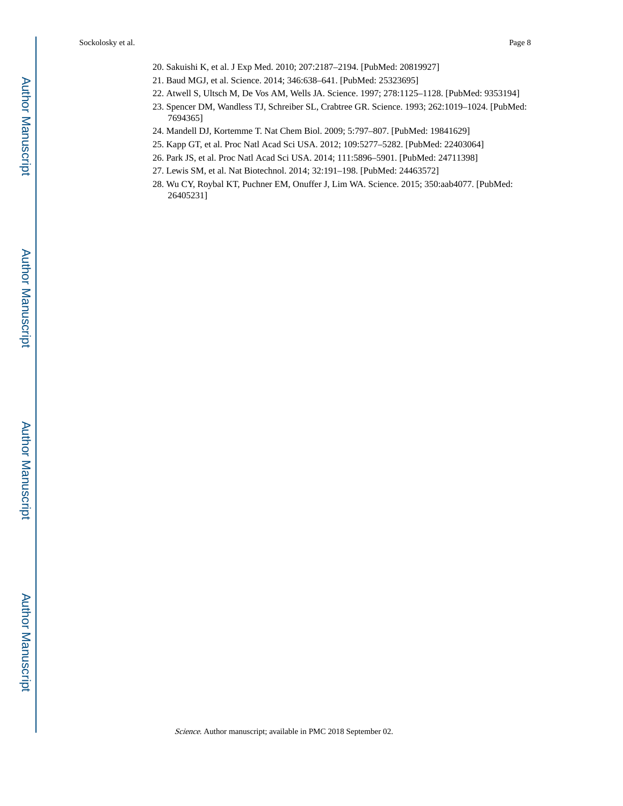- 20. Sakuishi K, et al. J Exp Med. 2010; 207:2187–2194. [PubMed: 20819927]
- 21. Baud MGJ, et al. Science. 2014; 346:638–641. [PubMed: 25323695]
- 22. Atwell S, Ultsch M, De Vos AM, Wells JA. Science. 1997; 278:1125–1128. [PubMed: 9353194]
- 23. Spencer DM, Wandless TJ, Schreiber SL, Crabtree GR. Science. 1993; 262:1019–1024. [PubMed: 7694365]
- 24. Mandell DJ, Kortemme T. Nat Chem Biol. 2009; 5:797–807. [PubMed: 19841629]
- 25. Kapp GT, et al. Proc Natl Acad Sci USA. 2012; 109:5277–5282. [PubMed: 22403064]
- 26. Park JS, et al. Proc Natl Acad Sci USA. 2014; 111:5896–5901. [PubMed: 24711398]
- 27. Lewis SM, et al. Nat Biotechnol. 2014; 32:191–198. [PubMed: 24463572]
- 28. Wu CY, Roybal KT, Puchner EM, Onuffer J, Lim WA. Science. 2015; 350:aab4077. [PubMed: 26405231]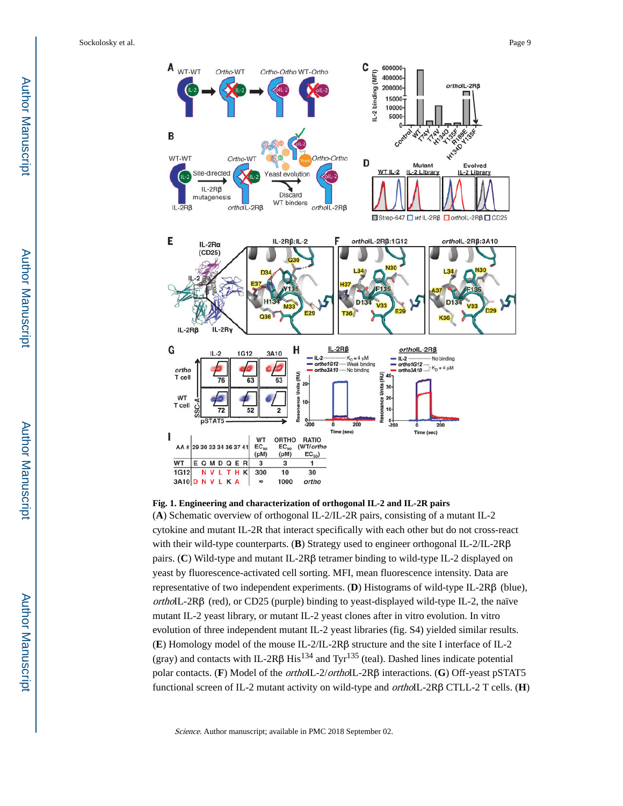

**Fig. 1. Engineering and characterization of orthogonal IL-2 and IL-2R pairs**

(**A**) Schematic overview of orthogonal IL-2/IL-2R pairs, consisting of a mutant IL-2 cytokine and mutant IL-2R that interact specifically with each other but do not cross-react with their wild-type counterparts. (**B**) Strategy used to engineer orthogonal IL-2/IL-2Rβ pairs. (**C**) Wild-type and mutant IL-2Rβ tetramer binding to wild-type IL-2 displayed on yeast by fluorescence-activated cell sorting. MFI, mean fluorescence intensity. Data are representative of two independent experiments. (**D**) Histograms of wild-type IL-2Rβ (blue), orthoIL-2Rβ (red), or CD25 (purple) binding to yeast-displayed wild-type IL-2, the naïve mutant IL-2 yeast library, or mutant IL-2 yeast clones after in vitro evolution. In vitro evolution of three independent mutant IL-2 yeast libraries (fig. S4) yielded similar results. (**E**) Homology model of the mouse IL-2/IL-2Rβ structure and the site I interface of IL-2 (gray) and contacts with IL-2Rβ His<sup>134</sup> and Tyr<sup>135</sup> (teal). Dashed lines indicate potential polar contacts. (**F**) Model of the orthoIL-2/orthoIL-2Rβ interactions. (**G**) Off-yeast pSTAT5 functional screen of IL-2 mutant activity on wild-type and orthoIL-2Rβ CTLL-2 T cells. (**H**)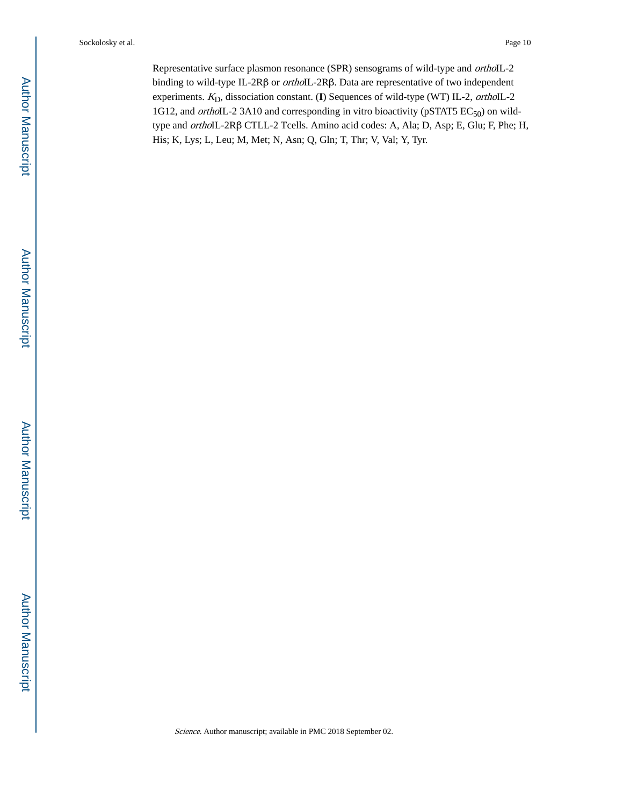Representative surface plasmon resonance (SPR) sensograms of wild-type and orthoIL-2 binding to wild-type IL-2Rβ or orthoIL-2Rβ. Data are representative of two independent experiments. K<sub>D</sub>, dissociation constant. (I) Sequences of wild-type (WT) IL-2, orthoIL-2 1G12, and orthoIL-2 3A10 and corresponding in vitro bioactivity (pSTAT5  $EC_{50}$ ) on wildtype and orthoIL-2Rβ CTLL-2 Tcells. Amino acid codes: A, Ala; D, Asp; E, Glu; F, Phe; H, His; K, Lys; L, Leu; M, Met; N, Asn; Q, Gln; T, Thr; V, Val; Y, Tyr.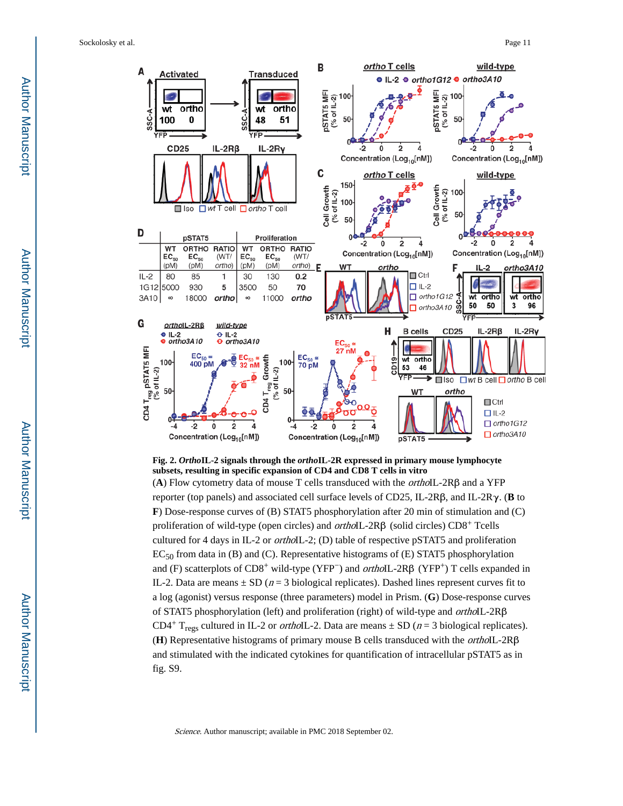

**Fig. 2.** *Ortho***IL-2 signals through the** *ortho***IL-2R expressed in primary mouse lymphocyte subsets, resulting in specific expansion of CD4 and CD8 T cells in vitro**

(**A**) Flow cytometry data of mouse T cells transduced with the orthoIL-2Rβ and a YFP reporter (top panels) and associated cell surface levels of CD25, IL-2Rβ, and IL-2Rγ. (**B** to **F**) Dose-response curves of (B) STAT5 phosphorylation after 20 min of stimulation and (C) proliferation of wild-type (open circles) and orthoIL-2Rβ (solid circles) CD8+ Tcells cultured for 4 days in IL-2 or orthoIL-2; (D) table of respective pSTAT5 and proliferation EC50 from data in (B) and (C). Representative histograms of (E) STAT5 phosphorylation and (F) scatterplots of CD8<sup>+</sup> wild-type (YFP<sup>-</sup>) and *ortho*IL-2R $\beta$  (YFP<sup>+</sup>) T cells expanded in IL-2. Data are means  $\pm$  SD ( $n=3$  biological replicates). Dashed lines represent curves fit to a log (agonist) versus response (three parameters) model in Prism. (**G**) Dose-response curves of STAT5 phosphorylation (left) and proliferation (right) of wild-type and orthoIL-2Rβ CD4<sup>+</sup> T<sub>regs</sub> cultured in IL-2 or *orthoIL-2*. Data are means  $\pm$  SD (*n* = 3 biological replicates). (**H**) Representative histograms of primary mouse B cells transduced with the orthoIL-2Rβ and stimulated with the indicated cytokines for quantification of intracellular pSTAT5 as in fig. S9.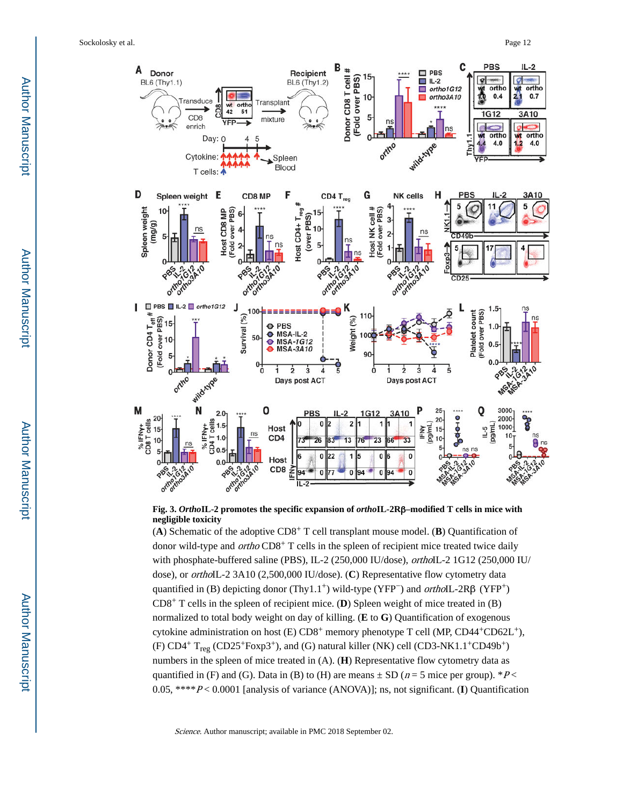

#### **Fig. 3.** *Ortho***IL-2 promotes the specific expansion of** *ortho***IL-2R**β**–modified T cells in mice with negligible toxicity**

(**A**) Schematic of the adoptive CD8+ T cell transplant mouse model. (**B**) Quantification of donor wild-type and *ortho* CD8<sup>+</sup> T cells in the spleen of recipient mice treated twice daily with phosphate-buffered saline (PBS), IL-2 (250,000 IU/dose), orthoIL-2 1G12 (250,000 IU/ dose), or orthoIL-2 3A10 (2,500,000 IU/dose). (**C**) Representative flow cytometry data quantified in (B) depicting donor (Thy1.1<sup>+</sup>) wild-type (YFP<sup>-</sup>) and *ortho*IL-2Rβ (YFP<sup>+</sup>) CD8+ T cells in the spleen of recipient mice. (**D**) Spleen weight of mice treated in (B) normalized to total body weight on day of killing. (**E** to **G**) Quantification of exogenous cytokine administration on host (E) CD8<sup>+</sup> memory phenotype T cell (MP, CD44<sup>+</sup>CD62L<sup>+</sup>), (F)  $CD4^+$  T<sub>reg</sub> (CD25<sup>+</sup>Foxp3<sup>+</sup>), and (G) natural killer (NK) cell (CD3-NK1.1<sup>+</sup>CD49b<sup>+</sup>) numbers in the spleen of mice treated in (A). (**H**) Representative flow cytometry data as quantified in (F) and (G). Data in (B) to (H) are means  $\pm$  SD ( $n = 5$  mice per group). \*P< 0.05, \*\*\*\*P < 0.0001 [analysis of variance (ANOVA)]; ns, not significant. (**I**) Quantification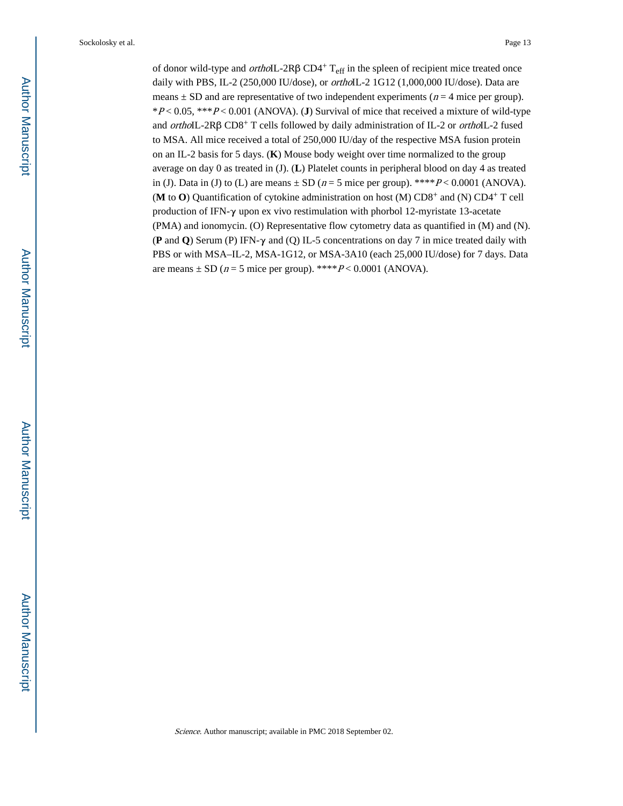of donor wild-type and *ortho*IL-2Rβ CD4<sup>+</sup> T<sub>eff</sub> in the spleen of recipient mice treated once daily with PBS, IL-2 (250,000 IU/dose), or *ortho*IL-2 1G12 (1,000,000 IU/dose). Data are means  $\pm$  SD and are representative of two independent experiments ( $n = 4$  mice per group). \*P < 0.05, \*\*\*P < 0.001 (ANOVA). (**J**) Survival of mice that received a mixture of wild-type and orthoIL-2Rβ CD8+ T cells followed by daily administration of IL-2 or orthoIL-2 fused to MSA. All mice received a total of 250,000 IU/day of the respective MSA fusion protein on an IL-2 basis for 5 days. (**K**) Mouse body weight over time normalized to the group average on day 0 as treated in (J). (**L**) Platelet counts in peripheral blood on day 4 as treated in (J). Data in (J) to (L) are means  $\pm$  SD ( $n = 5$  mice per group). \*\*\*\* $P < 0.0001$  (ANOVA). (**M** to **O**) Quantification of cytokine administration on host (M) CD8+ and (N) CD4+ T cell production of IFN-γ upon ex vivo restimulation with phorbol 12-myristate 13-acetate (PMA) and ionomycin. (O) Representative flow cytometry data as quantified in (M) and (N). (**P** and **Q**) Serum (P) IFN-γ and (Q) IL-5 concentrations on day 7 in mice treated daily with PBS or with MSA–IL-2, MSA-1G12, or MSA-3A10 (each 25,000 IU/dose) for 7 days. Data are means  $\pm$  SD ( $n = 5$  mice per group). \*\*\*\* $P < 0.0001$  (ANOVA).